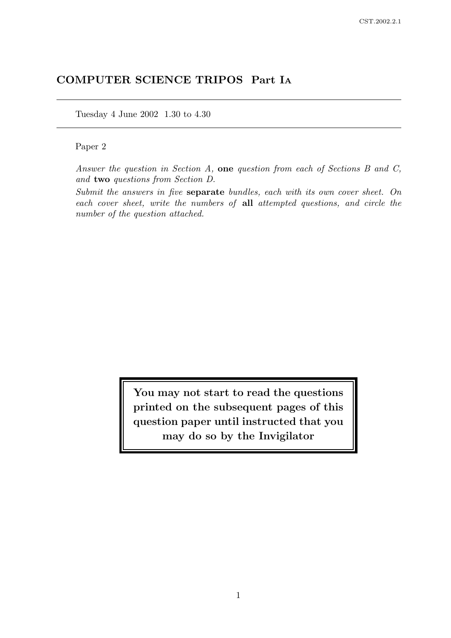# COMPUTER SCIENCE TRIPOS Part I<sup>A</sup>

Tuesday 4 June 2002 1.30 to 4.30

# Paper 2

Answer the question in Section A, one question from each of Sections B and C, and two questions from Section D.

Submit the answers in five separate bundles, each with its own cover sheet. On each cover sheet, write the numbers of all attempted questions, and circle the number of the question attached.

> You may not start to read the questions printed on the subsequent pages of this question paper until instructed that you may do so by the Invigilator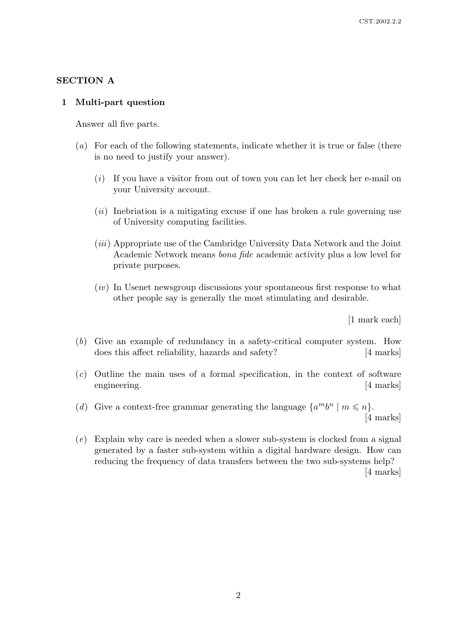### SECTION A

# 1 Multi-part question

Answer all five parts.

- (a) For each of the following statements, indicate whether it is true or false (there is no need to justify your answer).
	- (i) If you have a visitor from out of town you can let her check her e-mail on your University account.
	- $(ii)$  Inebriation is a mitigating excuse if one has broken a rule governing use of University computing facilities.
	- (*iii*) Appropriate use of the Cambridge University Data Network and the Joint Academic Network means bona fide academic activity plus a low level for private purposes.
	- $(iv)$  In Usenet newsgroup discussions your spontaneous first response to what other people say is generally the most stimulating and desirable.

[1 mark each]

- (b) Give an example of redundancy in a safety-critical computer system. How does this affect reliability, hazards and safety? [4 marks]
- (c) Outline the main uses of a formal specification, in the context of software engineering. [4 marks]
- (d) Give a context-free grammar generating the language  $\{a^m b^n \mid m \leq n\}.$ [4 marks]
- (e) Explain why care is needed when a slower sub-system is clocked from a signal generated by a faster sub-system within a digital hardware design. How can reducing the frequency of data transfers between the two sub-systems help? [4 marks]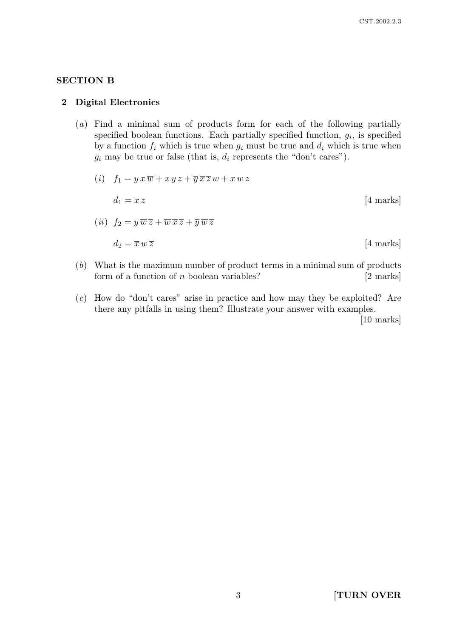# SECTION B

#### 2 Digital Electronics

(a) Find a minimal sum of products form for each of the following partially specified boolean functions. Each partially specified function,  $g_i$ , is specified by a function  $f_i$  which is true when  $g_i$  must be true and  $d_i$  which is true when  $g_i$  may be true or false (that is,  $d_i$  represents the "don't cares").

$$
(i) \t f_1 = y \t x \t \overline{w} + x \t y \t z + \overline{y} \t \overline{x} \t z \t w + x \t w \t z
$$

$$
d_1 = \overline{x} \t z \t [4 \text{ marks}]
$$

$$
(ii) \t f_2 = y \t \overline{w} \t z + \overline{w} \t \overline{x} \t z + \overline{y} \t \overline{w} \t z
$$

$$
d_2 = \overline{x} \t w \t z \t [4 \text{ marks}]
$$

- (b) What is the maximum number of product terms in a minimal sum of products form of a function of  $n$  boolean variables? [2 marks]
- (c) How do "don't cares" arise in practice and how may they be exploited? Are there any pitfalls in using them? Illustrate your answer with examples.

[10 marks]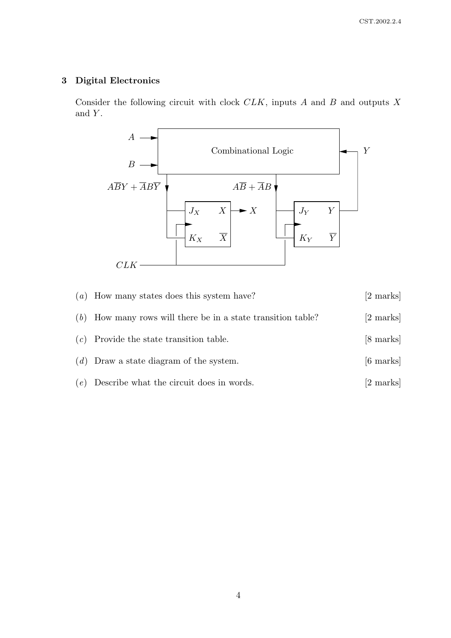# 3 Digital Electronics

Consider the following circuit with clock  $CLK$ , inputs  $A$  and  $B$  and outputs  $X$ and  $Y$ .



| $(a)$ How many states does this system have?                   | [2 marks]           |
|----------------------------------------------------------------|---------------------|
| $(b)$ How many rows will there be in a state transition table? | [2 marks]           |
| $(c)$ Provide the state transition table.                      | [8 marks]           |
| $(d)$ Draw a state diagram of the system.                      | $[6 \text{ marks}]$ |
| $(e)$ Describe what the circuit does in words.                 | [2 marks]           |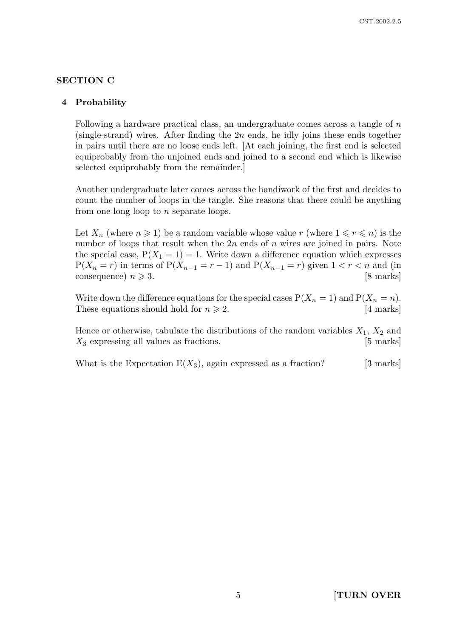### SECTION C

#### 4 Probability

Following a hardware practical class, an undergraduate comes across a tangle of n (single-strand) wires. After finding the  $2n$  ends, he idly joins these ends together in pairs until there are no loose ends left. [At each joining, the first end is selected equiprobably from the unjoined ends and joined to a second end which is likewise selected equiprobably from the remainder.]

Another undergraduate later comes across the handiwork of the first and decides to count the number of loops in the tangle. She reasons that there could be anything from one long loop to n separate loops.

Let  $X_n$  (where  $n \geq 1$ ) be a random variable whose value r (where  $1 \leq r \leq n$ ) is the number of loops that result when the  $2n$  ends of n wires are joined in pairs. Note the special case,  $P(X_1 = 1) = 1$ . Write down a difference equation which expresses  $P(X_n = r)$  in terms of  $P(X_{n-1} = r - 1)$  and  $P(X_{n-1} = r)$  given  $1 < r < n$  and (in consequence)  $n \geqslant 3$ . [8 marks]

Write down the difference equations for the special cases  $P(X_n = 1)$  and  $P(X_n = n)$ . These equations should hold for  $n \ge 2$ . [4 marks]

Hence or otherwise, tabulate the distributions of the random variables  $X_1, X_2$  and  $X_3$  expressing all values as fractions. [5 marks]

What is the Expectation  $E(X_3)$ , again expressed as a fraction? [3 marks]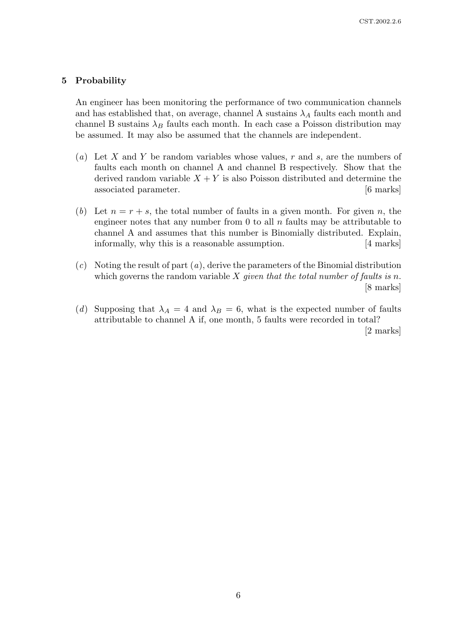#### 5 Probability

An engineer has been monitoring the performance of two communication channels and has established that, on average, channel A sustains  $\lambda_A$  faults each month and channel B sustains  $\lambda_B$  faults each month. In each case a Poisson distribution may be assumed. It may also be assumed that the channels are independent.

- (a) Let X and Y be random variables whose values, r and s, are the numbers of faults each month on channel A and channel B respectively. Show that the derived random variable  $X + Y$  is also Poisson distributed and determine the associated parameter. [6 marks]
- (b) Let  $n = r + s$ , the total number of faults in a given month. For given n, the engineer notes that any number from 0 to all  $n$  faults may be attributable to channel A and assumes that this number is Binomially distributed. Explain, informally, why this is a reasonable assumption. [4 marks]
- $(c)$  Noting the result of part  $(a)$ , derive the parameters of the Binomial distribution which governs the random variable  $X$  given that the total number of faults is n. [8 marks]
- (d) Supposing that  $\lambda_A = 4$  and  $\lambda_B = 6$ , what is the expected number of faults attributable to channel A if, one month, 5 faults were recorded in total? [2 marks]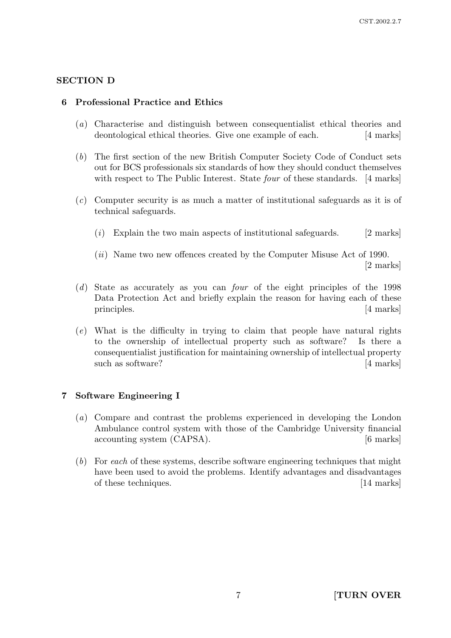# SECTION D

## 6 Professional Practice and Ethics

- (a) Characterise and distinguish between consequentialist ethical theories and deontological ethical theories. Give one example of each. [4 marks]
- (b) The first section of the new British Computer Society Code of Conduct sets out for BCS professionals six standards of how they should conduct themselves with respect to The Public Interest. State *four* of these standards. [4 marks]
- (c) Computer security is as much a matter of institutional safeguards as it is of technical safeguards.
	- (i) Explain the two main aspects of institutional safeguards.  $[2 \text{ marks}]$
	- (ii) Name two new offences created by the Computer Misuse Act of 1990. [2 marks]
- (d) State as accurately as you can four of the eight principles of the 1998 Data Protection Act and briefly explain the reason for having each of these principles. [4 marks]
- (e) What is the difficulty in trying to claim that people have natural rights to the ownership of intellectual property such as software? Is there a consequentialist justification for maintaining ownership of intellectual property such as software? [4 marks]

## 7 Software Engineering I

- (a) Compare and contrast the problems experienced in developing the London Ambulance control system with those of the Cambridge University financial accounting system (CAPSA). [6 marks]
- (b) For each of these systems, describe software engineering techniques that might have been used to avoid the problems. Identify advantages and disadvantages of these techniques. [14 marks]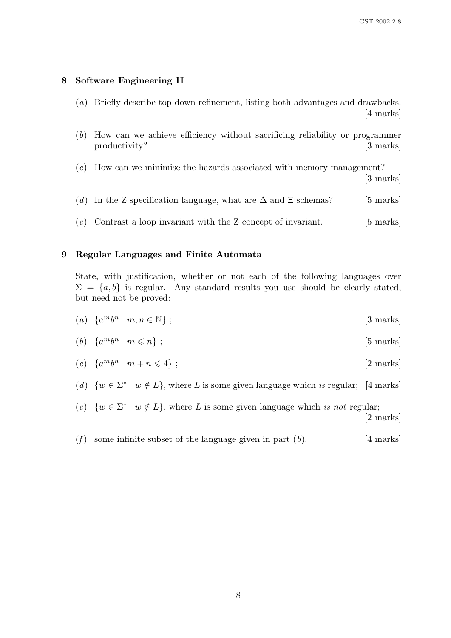#### 8 Software Engineering II

- (a) Briefly describe top-down refinement, listing both advantages and drawbacks. [4 marks]
- (b) How can we achieve efficiency without sacrificing reliability or programmer productivity? [3 marks]
- (c) How can we minimise the hazards associated with memory management? [3 marks]
- (d) In the Z specification language, what are  $\Delta$  and  $\Xi$  schemas? [5 marks]
- (e) Contrast a loop invariant with the Z concept of invariant.  $[5 \text{ marks}]$

#### 9 Regular Languages and Finite Automata

State, with justification, whether or not each of the following languages over  $\Sigma = \{a, b\}$  is regular. Any standard results you use should be clearly stated, but need not be proved:

- (a)  $\{a^m b^n \mid m, n \in \mathbb{N}\}\;;$  [3 marks]
- (b)  $\{a^m b^n \mid m \leqslant n\}$ ; [5 marks]
- (c)  $\{a^m b^n \mid m + n \leq 4\}$ ; [2 marks]
- (d)  $\{w \in \Sigma^* \mid w \notin L\}$ , where L is some given language which is regular; [4 marks]
- (e)  $\{w \in \Sigma^* \mid w \notin L\}$ , where L is some given language which is not regular; [2 marks]
- (f) some infinite subset of the language given in part  $(b)$ . [4 marks]